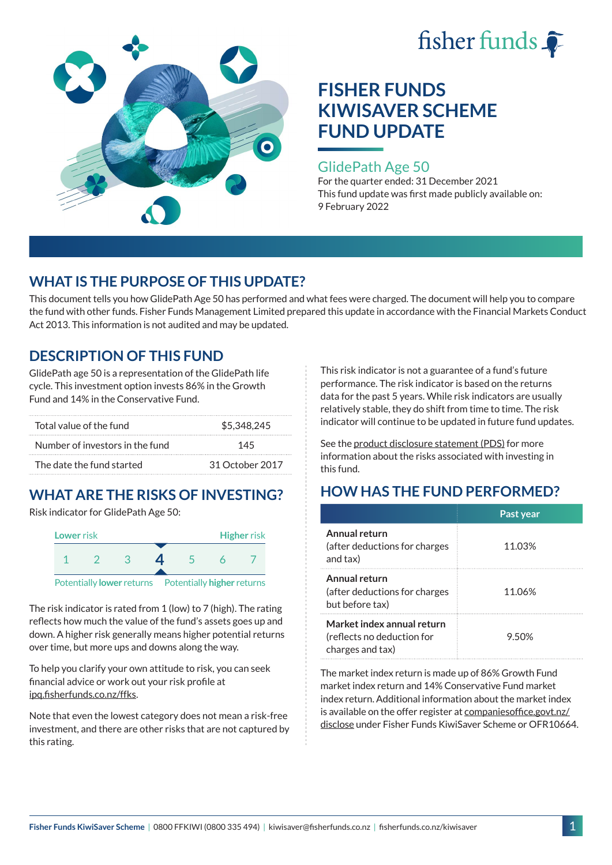



### GlidePath Age 50

For the quarter ended: 31 December 2021 This fund update was first made publicly available on: 9 February 2022

# **WHAT IS THE PURPOSE OF THIS UPDATE?**

This document tells you how GlidePath Age 50 has performed and what fees were charged. The document will help you to compare the fund with other funds. Fisher Funds Management Limited prepared this update in accordance with the Financial Markets Conduct Act 2013. This information is not audited and may be updated.

# **DESCRIPTION OF THIS FUND**

GlidePath age 50 is a representation of the GlidePath life cycle. This investment option invests 86% in the Growth Fund and 14% in the Conservative Fund.

| Total value of the fund         | \$5,348,245     |
|---------------------------------|-----------------|
| Number of investors in the fund | 145             |
| The date the fund started       | 31 October 2017 |

# **WHAT ARE THE RISKS OF INVESTING?**

Risk indicator for GlidePath Age 50:



The risk indicator is rated from 1 (low) to 7 (high). The rating reflects how much the value of the fund's assets goes up and down. A higher risk generally means higher potential returns over time, but more ups and downs along the way.

To help you clarify your own attitude to risk, you can seek financial advice or work out your risk profile at [ipq.fisherfunds.co.nz/ffks](https://ipq.fisherfunds.co.nz/ffks).

Note that even the lowest category does not mean a risk-free investment, and there are other risks that are not captured by this rating.

This risk indicator is not a guarantee of a fund's future performance. The risk indicator is based on the returns data for the past 5 years. While risk indicators are usually relatively stable, they do shift from time to time. The risk indicator will continue to be updated in future fund updates.

See the [product disclosure statement \(PDS\)](https://fisherfunds.co.nz/assets/PDS/Fisher-Funds-KiwiSaver-Scheme-PDS.pdf) for more information about the risks associated with investing in this fund.

# **HOW HAS THE FUND PERFORMED?**

|                                                                              | Past year |
|------------------------------------------------------------------------------|-----------|
| Annual return<br>(after deductions for charges<br>and tax)                   | 11.03%    |
| Annual return<br>(after deductions for charges<br>but before tax)            | 11.06%    |
| Market index annual return<br>(reflects no deduction for<br>charges and tax) | 9.50%     |

The market index return is made up of 86% Growth Fund market index return and 14% Conservative Fund market index return. Additional information about the market index is available on the offer register at [companiesoffice.govt.nz/](http://companiesoffice.govt.nz/disclose) [disclose](http://companiesoffice.govt.nz/disclose) under Fisher Funds KiwiSaver Scheme or OFR10664.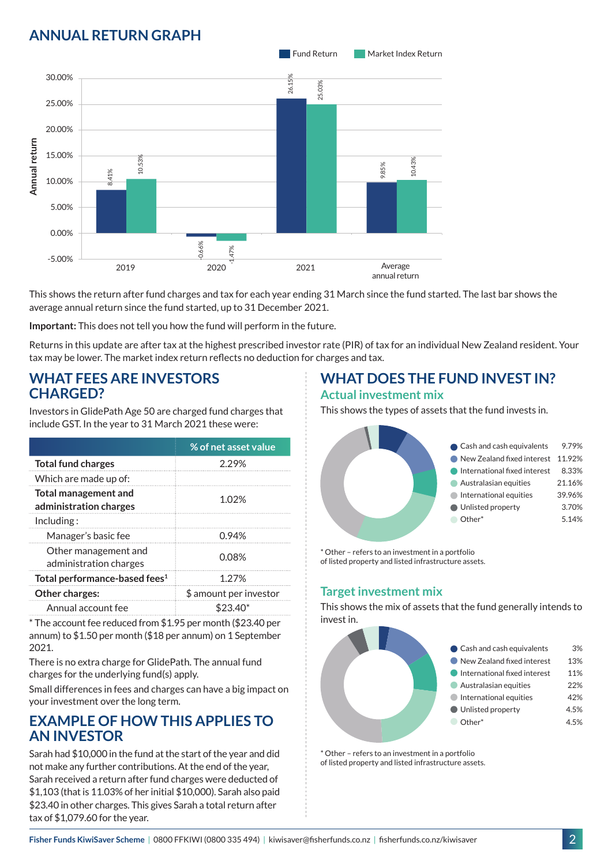# **ANNUAL RETURN GRAPH**



This shows the return after fund charges and tax for each year ending 31 March since the fund started. The last bar shows the average annual return since the fund started, up to 31 December 2021.

**Important:** This does not tell you how the fund will perform in the future.

Returns in this update are after tax at the highest prescribed investor rate (PIR) of tax for an individual New Zealand resident. Your tax may be lower. The market index return reflects no deduction for charges and tax.

### **WHAT FEES ARE INVESTORS CHARGED?**

Investors in GlidePath Age 50 are charged fund charges that include GST. In the year to 31 March 2021 these were:

|                                                       | % of net asset value   |  |
|-------------------------------------------------------|------------------------|--|
| <b>Total fund charges</b>                             | 2.29%                  |  |
| Which are made up of:                                 |                        |  |
| <b>Total management and</b><br>administration charges | 1.02%                  |  |
| Inding:                                               |                        |  |
| Manager's basic fee                                   | 0.94%                  |  |
| Other management and<br>administration charges        | 0.08%                  |  |
| Total performance-based fees <sup>1</sup>             | 1.27%                  |  |
| Other charges:                                        | \$ amount per investor |  |
| Annual account fee                                    | \$23.40*               |  |

\* The account fee reduced from \$1.95 per month (\$23.40 per annum) to \$1.50 per month (\$18 per annum) on 1 September 2021.

There is no extra charge for GlidePath. The annual fund charges for the underlying fund(s) apply.

Small differences in fees and charges can have a big impact on your investment over the long term.

# **EXAMPLE OF HOW THIS APPLIES TO AN INVESTOR**

Sarah had \$10,000 in the fund at the start of the year and did not make any further contributions. At the end of the year, Sarah received a return after fund charges were deducted of \$1,103 (that is 11.03% of her initial \$10,000). Sarah also paid \$23.40 in other charges. This gives Sarah a total return after tax of \$1,079.60 for the year.

# **WHAT DOES THE FUND INVEST IN?**

#### **Actual investment mix**

This shows the types of assets that the fund invests in.



\* Other – refers to an investment in a portfolio of listed property and listed infrastructure assets.

### **Target investment mix**

This shows the mix of assets that the fund generally intends to invest in.



\* Other – refers to an investment in a portfolio of listed property and listed infrastructure assets.